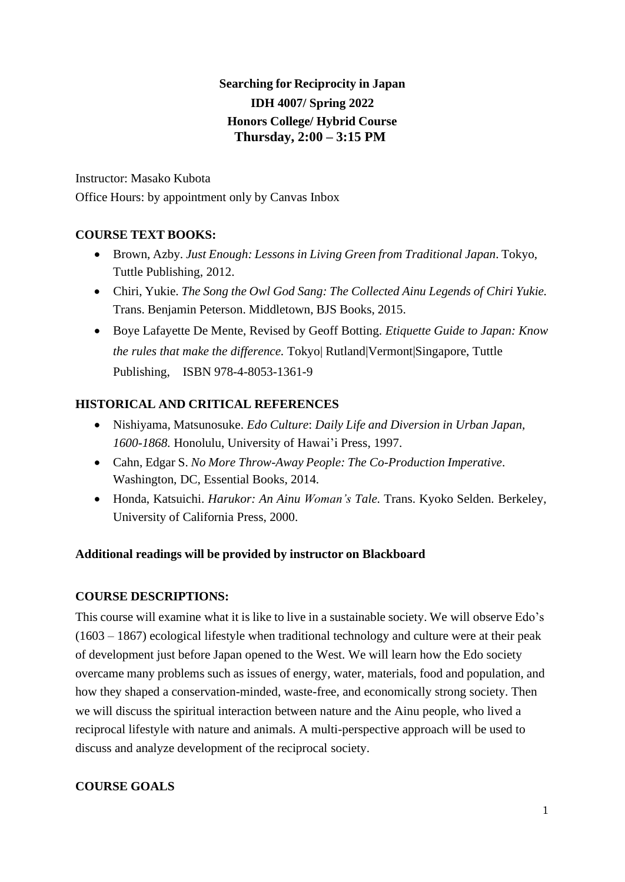# **Searching for Reciprocity in Japan IDH 4007/ Spring 2022 Honors College/ Hybrid Course Thursday, 2:00 – 3:15 PM**

Instructor: Masako Kubota Office Hours: by appointment only by Canvas Inbox

# **COURSE TEXT BOOKS:**

- Brown, Azby. *Just Enough: Lessons in Living Green from Traditional Japan*. Tokyo, Tuttle Publishing, 2012.
- Chiri, Yukie. *The Song the Owl God Sang: The Collected Ainu Legends of Chiri Yukie.* Trans. Benjamin Peterson. Middletown, BJS Books, 2015.
- Boye Lafayette De Mente, Revised by Geoff Botting. *Etiquette Guide to Japan: Know the rules that make the difference.* Tokyo| Rutland|Vermont|Singapore, Tuttle Publishing, ISBN 978-4-8053-1361-9

# **HISTORICAL AND CRITICAL REFERENCES**

- Nishiyama, Matsunosuke. *Edo Culture*: *Daily Life and Diversion in Urban Japan, 1600-1868.* Honolulu, University of Hawai'i Press, 1997.
- Cahn, Edgar S. *No More Throw-Away People: The Co-Production Imperative*. Washington, DC, Essential Books, 2014.
- Honda, Katsuichi. *Harukor: An Ainu Woman's Tale.* Trans. Kyoko Selden. Berkeley, University of California Press, 2000.

## **Additional readings will be provided by instructor on Blackboard**

## **COURSE DESCRIPTIONS:**

This course will examine what it is like to live in a sustainable society. We will observe Edo's (1603 – 1867) ecological lifestyle when traditional technology and culture were at their peak of development just before Japan opened to the West. We will learn how the Edo society overcame many problems such as issues of energy, water, materials, food and population, and how they shaped a conservation-minded, waste-free, and economically strong society. Then we will discuss the spiritual interaction between nature and the Ainu people, who lived a reciprocal lifestyle with nature and animals. A multi-perspective approach will be used to discuss and analyze development of the reciprocal society.

## **COURSE GOALS**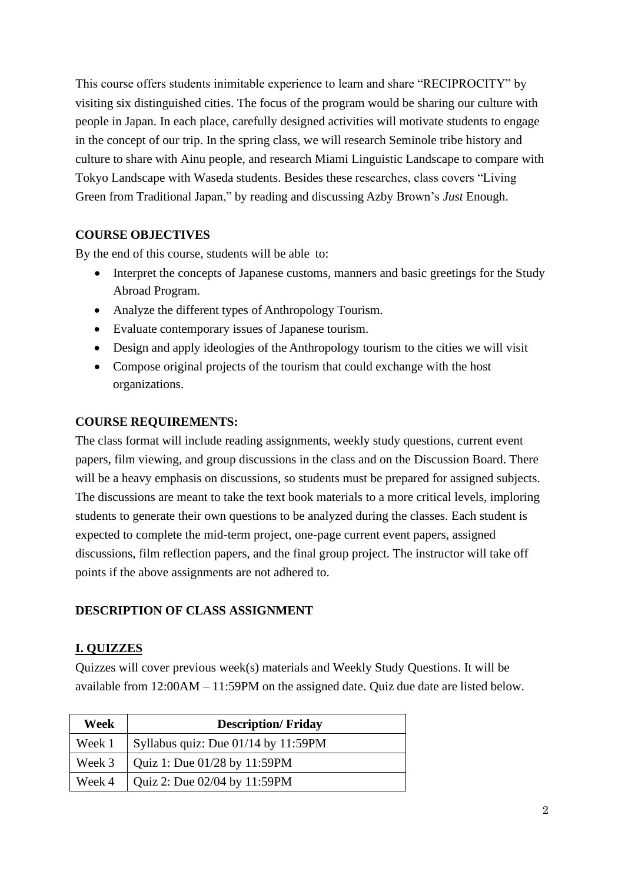This course offers students inimitable experience to learn and share "RECIPROCITY" by visiting six distinguished cities. The focus of the program would be sharing our culture with people in Japan. In each place, carefully designed activities will motivate students to engage in the concept of our trip. In the spring class, we will research Seminole tribe history and culture to share with Ainu people, and research Miami Linguistic Landscape to compare with Tokyo Landscape with Waseda students. Besides these researches, class covers "Living Green from Traditional Japan," by reading and discussing Azby Brown's *Just* Enough.

### **COURSE OBJECTIVES**

By the end of this course, students will be able to:

- Interpret the concepts of Japanese customs, manners and basic greetings for the Study Abroad Program.
- Analyze the different types of Anthropology Tourism.
- Evaluate contemporary issues of Japanese tourism.
- Design and apply ideologies of the Anthropology tourism to the cities we will visit
- Compose original projects of the tourism that could exchange with the host organizations.

#### **COURSE REQUIREMENTS:**

The class format will include reading assignments, weekly study questions, current event papers, film viewing, and group discussions in the class and on the Discussion Board. There will be a heavy emphasis on discussions, so students must be prepared for assigned subjects. The discussions are meant to take the text book materials to a more critical levels, imploring students to generate their own questions to be analyzed during the classes. Each student is expected to complete the mid-term project, one-page current event papers, assigned discussions, film reflection papers, and the final group project. The instructor will take off points if the above assignments are not adhered to.

### **DESCRIPTION OF CLASS ASSIGNMENT**

### **I. QUIZZES**

Quizzes will cover previous week(s) materials and Weekly Study Questions. It will be available from 12:00AM – 11:59PM on the assigned date. Quiz due date are listed below.

| Week   | <b>Description/Friday</b>             |
|--------|---------------------------------------|
| Week 1 | Syllabus quiz: Due $01/14$ by 11:59PM |
| Week 3 | Quiz 1: Due 01/28 by 11:59PM          |
| Week 4 | Quiz 2: Due 02/04 by 11:59PM          |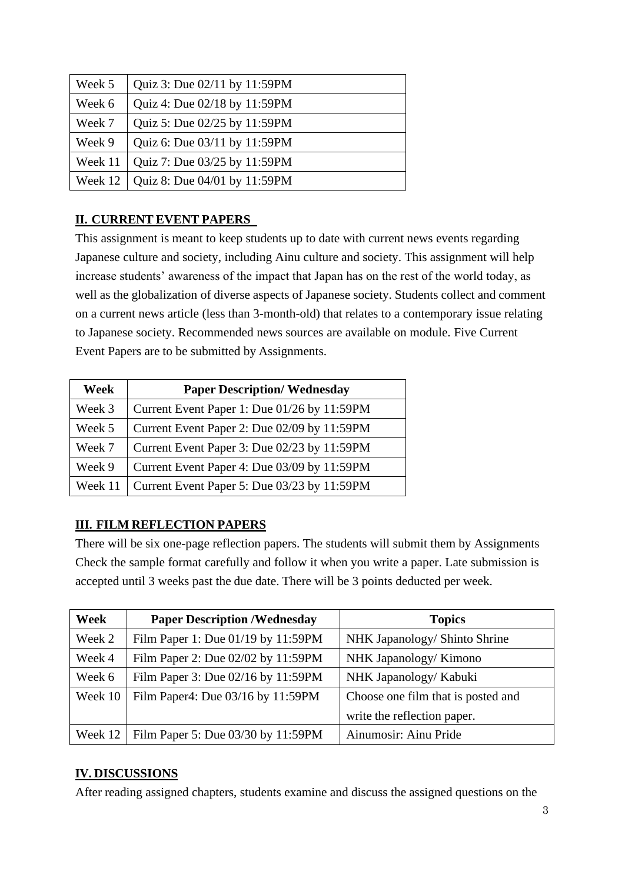| Week 5  | Quiz 3: Due 02/11 by 11:59PM |
|---------|------------------------------|
| Week 6  | Quiz 4: Due 02/18 by 11:59PM |
| Week 7  | Quiz 5: Due 02/25 by 11:59PM |
| Week 9  | Quiz 6: Due 03/11 by 11:59PM |
| Week 11 | Quiz 7: Due 03/25 by 11:59PM |
| Week 12 | Quiz 8: Due 04/01 by 11:59PM |

## **II. CURRENT EVENT PAPERS**

This assignment is meant to keep students up to date with current news events regarding Japanese culture and society, including Ainu culture and society. This assignment will help increase students' awareness of the impact that Japan has on the rest of the world today, as well as the globalization of diverse aspects of Japanese society. Students collect and comment on a current news article (less than 3-month-old) that relates to a contemporary issue relating to Japanese society. Recommended news sources are available on module. Five Current Event Papers are to be submitted by Assignments.

| Week    | <b>Paper Description/ Wednesday</b>         |
|---------|---------------------------------------------|
| Week 3  | Current Event Paper 1: Due 01/26 by 11:59PM |
| Week 5  | Current Event Paper 2: Due 02/09 by 11:59PM |
| Week 7  | Current Event Paper 3: Due 02/23 by 11:59PM |
| Week 9  | Current Event Paper 4: Due 03/09 by 11:59PM |
| Week 11 | Current Event Paper 5: Due 03/23 by 11:59PM |

# **III. FILM REFLECTION PAPERS**

There will be six one-page reflection papers. The students will submit them by Assignments Check the sample format carefully and follow it when you write a paper. Late submission is accepted until 3 weeks past the due date. There will be 3 points deducted per week.

| Week    | <b>Paper Description /Wednesday</b>                                     | <b>Topics</b>                 |  |
|---------|-------------------------------------------------------------------------|-------------------------------|--|
| Week 2  | Film Paper 1: Due 01/19 by 11:59PM                                      | NHK Japanology/ Shinto Shrine |  |
| Week 4  | Film Paper 2: Due 02/02 by 11:59PM                                      | NHK Japanology/Kimono         |  |
| Week 6  | Film Paper 3: Due 02/16 by 11:59PM                                      | NHK Japanology/ Kabuki        |  |
| Week 10 | Film Paper4: Due 03/16 by 11:59PM<br>Choose one film that is posted and |                               |  |
|         |                                                                         | write the reflection paper.   |  |
| Week 12 | Film Paper 5: Due 03/30 by 11:59PM                                      | Ainumosir: Ainu Pride         |  |

# **IV. DISCUSSIONS**

After reading assigned chapters, students examine and discuss the assigned questions on the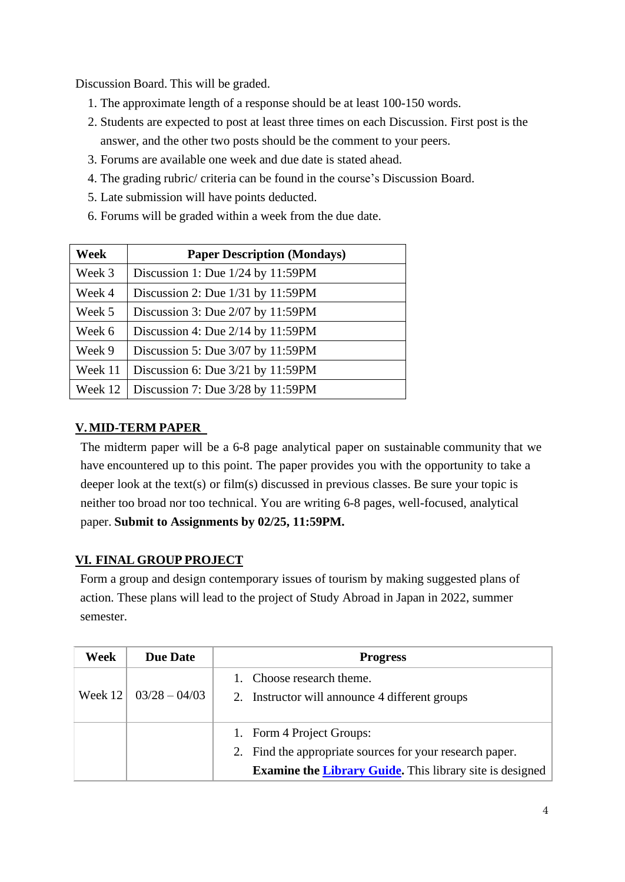Discussion Board. This will be graded.

- 1. The approximate length of a response should be at least 100-150 words.
- 2. Students are expected to post at least three times on each Discussion. First post is the answer, and the other two posts should be the comment to your peers.
- 3. Forums are available one week and due date is stated ahead.
- 4. The grading rubric/ criteria can be found in the course's Discussion Board.
- 5. Late submission will have points deducted.
- 6. Forums will be graded within a week from the due date.

| Week    | <b>Paper Description (Mondays)</b>  |  |  |
|---------|-------------------------------------|--|--|
| Week 3  | Discussion 1: Due 1/24 by 11:59PM   |  |  |
| Week 4  | Discussion 2: Due 1/31 by 11:59PM   |  |  |
| Week 5  | Discussion 3: Due 2/07 by 11:59PM   |  |  |
| Week 6  | Discussion 4: Due $2/14$ by 11:59PM |  |  |
| Week 9  | Discussion 5: Due 3/07 by 11:59PM   |  |  |
| Week 11 | Discussion 6: Due $3/21$ by 11:59PM |  |  |
| Week 12 | Discussion 7: Due 3/28 by 11:59PM   |  |  |

### **V. MID-TERM PAPER**

The midterm paper will be a 6-8 page analytical paper on sustainable community that we have encountered up to this point. The paper provides you with the opportunity to take a deeper look at the text(s) or film(s) discussed in previous classes. Be sure your topic is neither too broad nor too technical. You are writing 6-8 pages, well-focused, analytical paper. **Submit to Assignments by 02/25, 11:59PM.**

### **VI. FINAL GROUP PROJECT**

Form a group and design contemporary issues of tourism by making suggested plans of action. These plans will lead to the project of Study Abroad in Japan in 2022, summer semester.

| Week      | <b>Due Date</b> | <b>Progress</b>                                                 |
|-----------|-----------------|-----------------------------------------------------------------|
|           |                 | 1. Choose research theme.                                       |
| Week $12$ | $03/28 - 04/03$ | 2. Instructor will announce 4 different groups                  |
|           |                 | 1. Form 4 Project Groups:                                       |
|           |                 | 2. Find the appropriate sources for your research paper.        |
|           |                 | <b>Examine the Library Guide.</b> This library site is designed |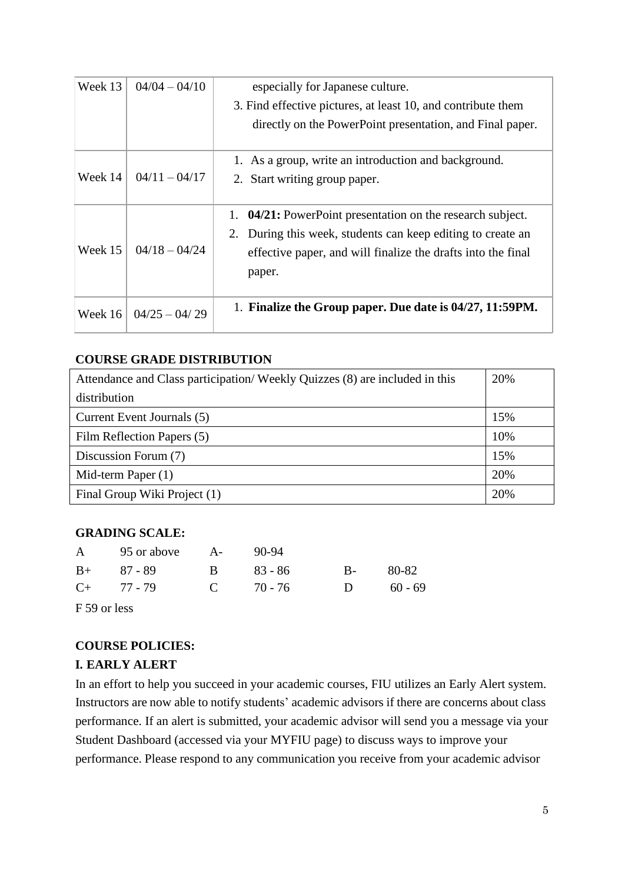| Week 13 | $04/04 - 04/10$ | especially for Japanese culture.<br>3. Find effective pictures, at least 10, and contribute them<br>directly on the PowerPoint presentation, and Final paper.                                             |
|---------|-----------------|-----------------------------------------------------------------------------------------------------------------------------------------------------------------------------------------------------------|
| Week 14 | $04/11 - 04/17$ | 1. As a group, write an introduction and background.<br>2. Start writing group paper.                                                                                                                     |
| Week 15 | $04/18 - 04/24$ | 04/21: PowerPoint presentation on the research subject.<br>1.<br>During this week, students can keep editing to create an<br>2.<br>effective paper, and will finalize the drafts into the final<br>paper. |
| Week 16 | $04/25 - 04/29$ | 1. Finalize the Group paper. Due date is 04/27, 11:59PM.                                                                                                                                                  |

### **COURSE GRADE DISTRIBUTION**

| Attendance and Class participation/Weekly Quizzes (8) are included in this |     |  |
|----------------------------------------------------------------------------|-----|--|
| distribution                                                               |     |  |
| Current Event Journals (5)                                                 | 15% |  |
| Film Reflection Papers (5)                                                 | 10% |  |
| Discussion Forum (7)                                                       | 15% |  |
| Mid-term Paper $(1)$                                                       | 20% |  |
| Final Group Wiki Project (1)                                               | 20% |  |

### **GRADING SCALE:**

|                 | A 95 or above A- 90-94 |           |           |             |       |
|-----------------|------------------------|-----------|-----------|-------------|-------|
| $B+ 87 - 89$    | $\mathbf{B}$           |           | - 83 - 86 | $B-$        | 80-82 |
| $C_{+}$ 77 - 79 |                        | C $70-76$ |           | D $60 - 69$ |       |

F 59 or less

## **COURSE POLICIES:**

## **I. EARLY ALERT**

In an effort to help you succeed in your academic courses, FIU utilizes an Early Alert system. Instructors are now able to notify students' academic advisors if there are concerns about class performance. If an alert is submitted, your academic advisor will send you a message via your Student Dashboard (accessed via your MYFIU page) to discuss ways to improve your performance. Please respond to any communication you receive from your academic advisor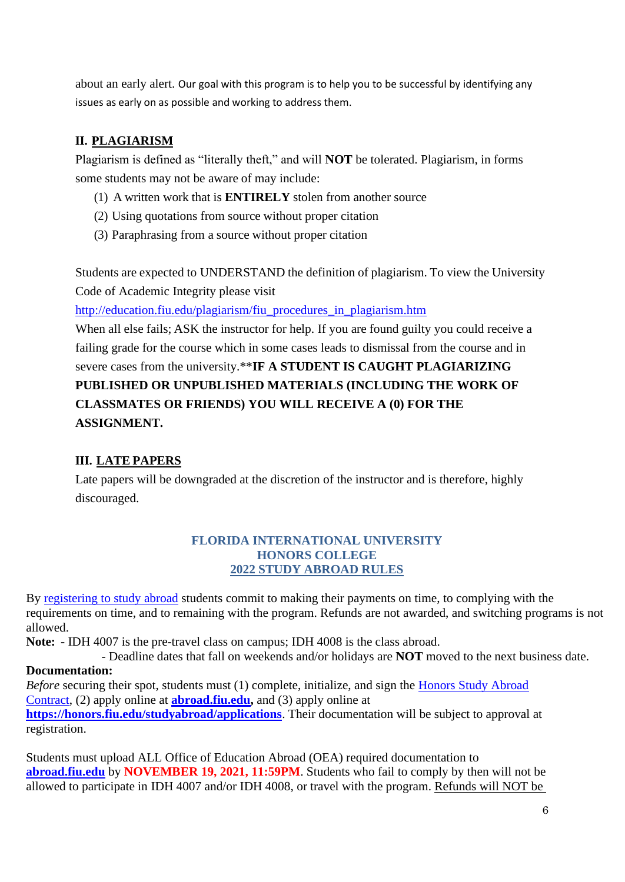about an early alert. Our goal with this program is to help you to be successful by identifying any issues as early on as possible and working to address them.

# **II. PLAGIARISM**

Plagiarism is defined as "literally theft," and will **NOT** be tolerated. Plagiarism, in forms some students may not be aware of may include:

- (1) A written work that is **ENTIRELY** stolen from another source
- (2) Using quotations from source without proper citation
- (3) Paraphrasing from a source without proper citation

Students are expected to UNDERSTAND the definition of plagiarism. To view the University Code of Academic Integrity please visit

[http://education.fiu.edu/plagiarism/fiu\\_procedures\\_in\\_plagiarism.htm](http://education.fiu.edu/plagiarism/fiu_procedures_in_plagiarism.htm)

When all else fails; ASK the instructor for help. If you are found guilty you could receive a failing grade for the course which in some cases leads to dismissal from the course and in severe cases from the university.\*\***IF A STUDENT IS CAUGHT PLAGIARIZING PUBLISHED OR UNPUBLISHED MATERIALS (INCLUDING THE WORK OF CLASSMATES OR FRIENDS) YOU WILL RECEIVE A (0) FOR THE ASSIGNMENT.**

## **III. LATE PAPERS**

Late papers will be downgraded at the discretion of the instructor and is therefore, highly discouraged.

### **FLORIDA INTERNATIONAL UNIVERSITY HONORS COLLEGE 2022 STUDY ABROAD RULES**

By [registering to study abroad](https://honors.fiu.edu/studyabroad/instructions-to-register) students commit to making their payments on time, to complying with the requirements on time, and to remaining with the program. Refunds are not awarded, and switching programs is not allowed.

**Note:** - IDH 4007 is the pre-travel class on campus; IDH 4008 is the class abroad.

- Deadline dates that fall on weekends and/or holidays are **NOT** moved to the next business date. **Documentation:**

#### *Before* securing their spot, students must (1) complete, initialize, and sign the Honors Study Abroad Contract, (2) apply online at **[abroad.fiu.edu,](https://abroad.fiu.edu/index.cfm?FuseAction=Programs.AdvancedSearch)** and (3) apply online at **<https://honors.fiu.edu/studyabroad/applications>**. Their documentation will be subject to approval at registration.

Students must upload ALL Office of Education Abroad (OEA) required documentation to **[abroad.fiu.edu](https://abroad.fiu.edu/index.cfm?FuseAction=Programs.AdvancedSearch)** by **NOVEMBER 19, 2021, 11:59PM**. Students who fail to comply by then will not be allowed to participate in IDH 4007 and/or IDH 4008, or travel with the program. Refunds will NOT be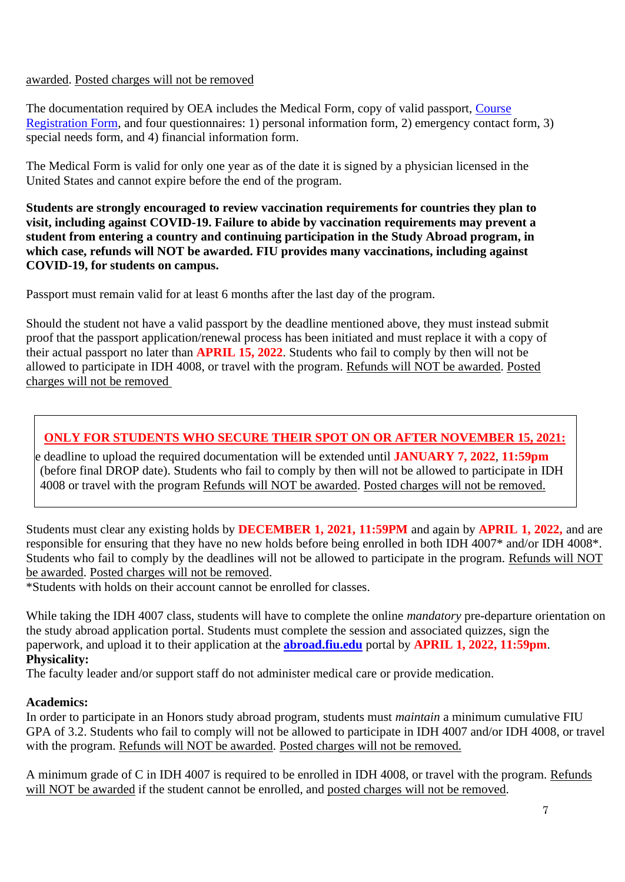#### awarded. Posted charges will not be removed

The documentation required by OEA includes the Medical Form, copy of valid passport, [Course](https://honors.fiu.edu/studyabroad/crf) [Registration Form,](https://honors.fiu.edu/studyabroad/crf) and four questionnaires: 1) personal information form, 2) emergency contact form, 3) special needs form, and 4) financial information form.

The Medical Form is valid for only one year as of the date it is signed by a physician licensed in the United States and cannot expire before the end of the program.

**Students are strongly encouraged to review vaccination requirements for countries they plan to visit, including against COVID-19. Failure to abide by vaccination requirements may prevent a student from entering a country and continuing participation in the Study Abroad program, in which case, refunds will NOT be awarded. FIU provides many vaccinations, including against COVID-19, for students on campus.**

Passport must remain valid for at least 6 months after the last day of the program.

Should the student not have a valid passport by the deadline mentioned above, they must instead submit proof that the passport application/renewal process has been initiated and must replace it with a copy of their actual passport no later than **APRIL 15, 2022**. Students who fail to comply by then will not be allowed to participate in IDH 4008, or travel with the program. Refunds will NOT be awarded. Posted charges will not be removed

# **ONLY FOR STUDENTS WHO SECURE THEIR SPOT ON OR AFTER NOVEMBER 15, 2021:**

e deadline to upload the required documentation will be extended until **JANUARY 7, 2022**, **11:59pm** (before final DROP date). Students who fail to comply by then will not be allowed to participate in IDH 4008 or travel with the program Refunds will NOT be awarded. Posted charges will not be removed.

Students must clear any existing holds by **DECEMBER 1, 2021, 11:59PM** and again by **APRIL 1, 2022,** and are responsible for ensuring that they have no new holds before being enrolled in both IDH 4007\* and/or IDH 4008\*. Students who fail to comply by the deadlines will not be allowed to participate in the program. Refunds will NOT be awarded. Posted charges will not be removed.

\*Students with holds on their account cannot be enrolled for classes.

While taking the IDH 4007 class, students will have to complete the online *mandatory* pre-departure orientation on the study abroad application portal. Students must complete the session and associated quizzes, sign the paperwork, and upload it to their application at the **[abroad.fiu.edu](https://abroad.fiu.edu/index.cfm?FuseAction=Programs.AdvancedSearch)** portal by **APRIL 1, 2022, 11:59pm**. **Physicality:**

The faculty leader and/or support staff do not administer medical care or provide medication.

### **Academics:**

In order to participate in an Honors study abroad program, students must *maintain* a minimum cumulative FIU GPA of 3.2. Students who fail to comply will not be allowed to participate in IDH 4007 and/or IDH 4008, or travel with the program. Refunds will NOT be awarded. Posted charges will not be removed.

A minimum grade of C in IDH 4007 is required to be enrolled in IDH 4008, or travel with the program. Refunds will NOT be awarded if the student cannot be enrolled, and posted charges will not be removed.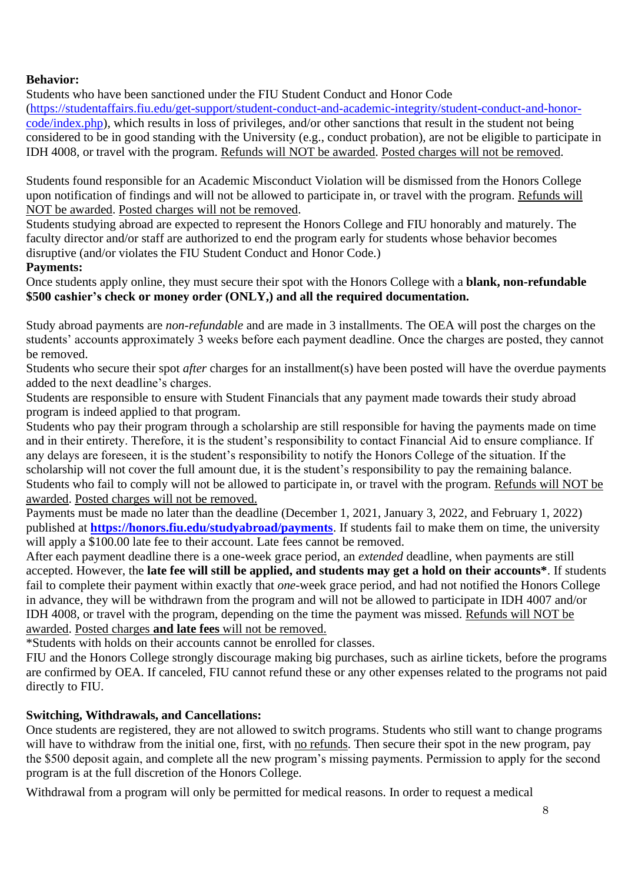#### **Behavior:**

Students who have been sanctioned under the FIU Student Conduct and Honor Code

[\(https://studentaffairs.fiu.edu/get-support/student-conduct-and-academic-integrity/student-conduct-and-honor](https://studentaffairs.fiu.edu/get-support/student-conduct-and-academic-integrity/student-conduct-and-honor-code/index.php)[code/index.php\)](https://studentaffairs.fiu.edu/get-support/student-conduct-and-academic-integrity/student-conduct-and-honor-code/index.php), which results in loss of privileges, and/or other sanctions that result in the student not being considered to be in good standing with the University (e.g., conduct probation), are not be eligible to participate in IDH 4008, or travel with the program. Refunds will NOT be awarded. Posted charges will not be removed.

Students found responsible for an Academic Misconduct Violation will be dismissed from the Honors College upon notification of findings and will not be allowed to participate in, or travel with the program. Refunds will NOT be awarded. Posted charges will not be removed.

Students studying abroad are expected to represent the Honors College and FIU honorably and maturely. The faculty director and/or staff are authorized to end the program early for students whose behavior becomes disruptive (and/or violates the FIU Student Conduct and Honor Code.)

#### **Payments:**

Once students apply online, they must secure their spot with the Honors College with a **blank, non-refundable \$500 cashier's check or money order (ONLY,) and all the required documentation.**

Study abroad payments are *non-refundable* and are made in 3 installments. The OEA will post the charges on the students' accounts approximately 3 weeks before each payment deadline. Once the charges are posted, they cannot be removed.

Students who secure their spot *after* charges for an installment(s) have been posted will have the overdue payments added to the next deadline's charges.

Students are responsible to ensure with Student Financials that any payment made towards their study abroad program is indeed applied to that program.

Students who pay their program through a scholarship are still responsible for having the payments made on time and in their entirety. Therefore, it is the student's responsibility to contact Financial Aid to ensure compliance. If any delays are foreseen, it is the student's responsibility to notify the Honors College of the situation. If the scholarship will not cover the full amount due, it is the student's responsibility to pay the remaining balance. Students who fail to comply will not be allowed to participate in, or travel with the program. Refunds will NOT be awarded. Posted charges will not be removed.

Payments must be made no later than the deadline (December 1, 2021, January 3, 2022, and February 1, 2022) published at **<https://honors.fiu.edu/studyabroad/payments>**. If students fail to make them on time, the university will apply a  $$100.00$  late fee to their account. Late fees cannot be removed.

After each payment deadline there is a one-week grace period, an *extended* deadline, when payments are still accepted. However, the **late fee will still be applied, and students may get a hold on their accounts\***. If students fail to complete their payment within exactly that *one*-week grace period, and had not notified the Honors College in advance, they will be withdrawn from the program and will not be allowed to participate in IDH 4007 and/or IDH 4008, or travel with the program, depending on the time the payment was missed. Refunds will NOT be awarded. Posted charges **and late fees** will not be removed.

\*Students with holds on their accounts cannot be enrolled for classes.

FIU and the Honors College strongly discourage making big purchases, such as airline tickets, before the programs are confirmed by OEA. If canceled, FIU cannot refund these or any other expenses related to the programs not paid directly to FIU.

### **Switching, Withdrawals, and Cancellations:**

Once students are registered, they are not allowed to switch programs. Students who still want to change programs will have to withdraw from the initial one, first, with no refunds. Then secure their spot in the new program, pay the \$500 deposit again, and complete all the new program's missing payments. Permission to apply for the second program is at the full discretion of the Honors College.

Withdrawal from a program will only be permitted for medical reasons. In order to request a medical